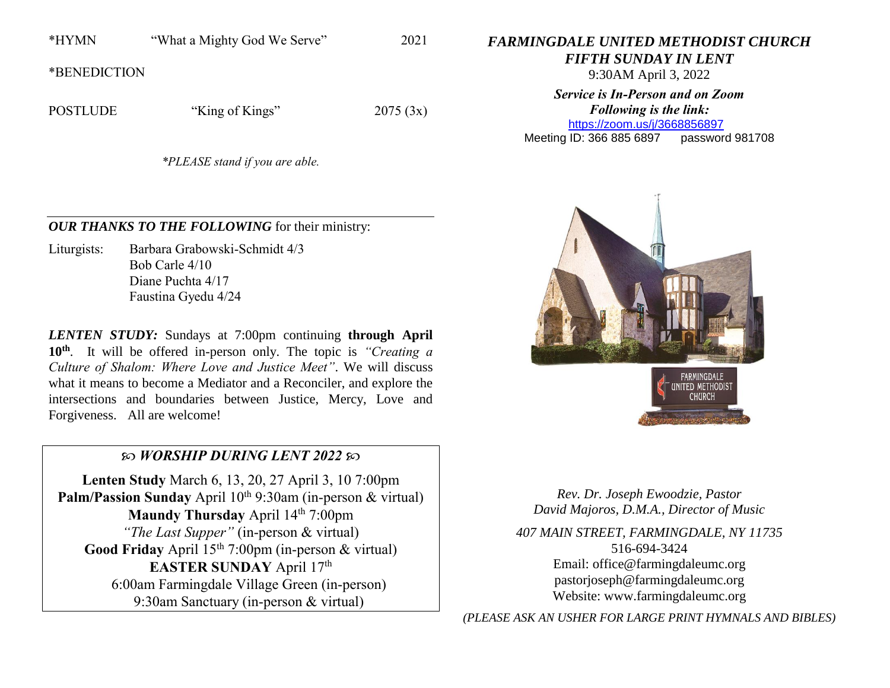\*HYMN "What a Mighty God We Serve" 2021

\*BENEDICTION

POSTLUDE "King of Kings" 2075 (3x)

*\*PLEASE stand if you are able.*

*OUR THANKS TO THE FOLLOWING* for their ministry:

Liturgists: Barbara Grabowski-Schmidt 4/3 Bob Carle 4/10 Diane Puchta 4/17 Faustina Gyedu 4/24

*LENTEN STUDY:* Sundays at 7:00pm continuing **through April 10th**. It will be offered in-person only. The topic is *"Creating a Culture of Shalom: Where Love and Justice Meet"*. We will discuss what it means to become a Mediator and a Reconciler, and explore the intersections and boundaries between Justice, Mercy, Love and Forgiveness. All are welcome!

## *WORSHIP DURING LENT 2022*

**Lenten Study** March 6, 13, 20, 27 April 3, 10 7:00pm **Palm/Passion Sunday** April 10<sup>th</sup> 9:30am (in-person & virtual) **Maundy Thursday** April 14<sup>th</sup> 7:00pm *"The Last Supper"* (in-person & virtual) Good Friday April 15<sup>th</sup> 7:00pm (in-person & virtual) EASTER SUNDAY April 17<sup>th</sup> 6:00am Farmingdale Village Green (in-person) 9:30am Sanctuary (in-person & virtual)

*FARMINGDALE UNITED METHODIST CHURCH*

*FIFTH SUNDAY IN LENT*

9:30AM April 3, 2022

*Service is In-Person and on Zoom Following is the link:* <https://zoom.us/j/3668856897>

Meeting ID: 366 885 6897 password 981708



*Rev. Dr. Joseph Ewoodzie, Pastor David Majoros, D.M.A., Director of Music*

*407 MAIN STREET, FARMINGDALE, NY 11735* 516-694-3424 Email: [office@farmingdaleumc.org](mailto:office@farmingdaleumc.org) pastorjoseph@farmingdaleumc.org Website: www.farmingdaleumc.org

*(PLEASE ASK AN USHER FOR LARGE PRINT HYMNALS AND BIBLES)*